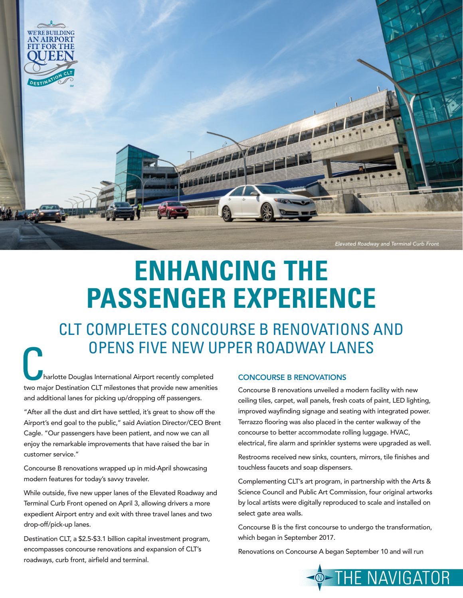

## **ENHANCING THE PASSENGER EXPERIENCE**

CLT COMPLETES CONCOURSE B RENOVATIONS AND OPENS FIVE NEW UPPER ROADWAY LANES

harlotte Douglas International Airport recently completed two major Destination CLT milestones that provide new amenities and additional lanes for picking up/dropping off passengers.

"After all the dust and dirt have settled, it's great to show off the Airport's end goal to the public," said Aviation Director/CEO Brent Cagle. "Our passengers have been patient, and now we can all enjoy the remarkable improvements that have raised the bar in customer service."

Concourse B renovations wrapped up in mid-April showcasing modern features for today's savvy traveler.

While outside, five new upper lanes of the Elevated Roadway and Terminal Curb Front opened on April 3, allowing drivers a more expedient Airport entry and exit with three travel lanes and two drop-off/pick-up lanes.

Destination CLT, a \$2.5-\$3.1 billion capital investment program, encompasses concourse renovations and expansion of CLT's roadways, curb front, airfield and terminal.

## CONCOURSE B RENOVATIONS

Concourse B renovations unveiled a modern facility with new ceiling tiles, carpet, wall panels, fresh coats of paint, LED lighting, improved wayfinding signage and seating with integrated power. Terrazzo flooring was also placed in the center walkway of the concourse to better accommodate rolling luggage. HVAC, electrical, fire alarm and sprinkler systems were upgraded as well.

Restrooms received new sinks, counters, mirrors, tile finishes and touchless faucets and soap dispensers.

Complementing CLT's art program, in partnership with the Arts & Science Council and Public Art Commission, four original artworks by local artists were digitally reproduced to scale and installed on select gate area walls.

Concourse B is the first concourse to undergo the transformation, which began in September 2017.

Renovations on Concourse A began September 10 and will run